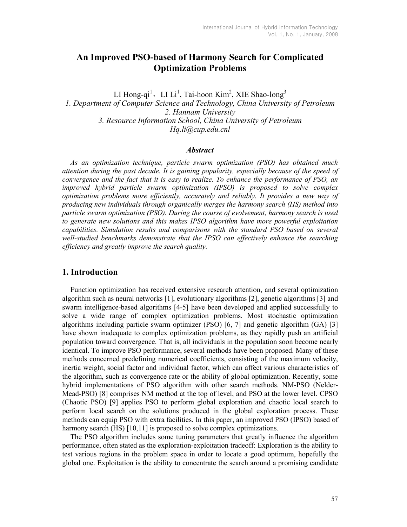# An Improved PSO-based of Harmony Search for Complicated Optimization Problems

LI Hong-qi<sup>1</sup>, LI Li<sup>1</sup>, Tai-hoon Kim<sup>2</sup>, XIE Shao-long<sup>3</sup> 1. Department of Computer Science and Technology, China University of Petroleum 2. Hannam University 3. Resource Information School, China University of Petroleum Hq.li@cup.edu.cnl

#### **Abstract**

As an optimization technique, particle swarm optimization (PSO) has obtained much attention during the past decade. It is gaining popularity, especially because of the speed of convergence and the fact that it is easy to realize. To enhance the performance of PSO, an improved hybrid particle swarm optimization (IPSO) is proposed to solve complex optimization problems more efficiently, accurately and reliably. It provides a new way of producing new individuals through organically merges the harmony search (HS) method into particle swarm optimization (PSO). During the course of evolvement, harmony search is used to generate new solutions and this makes IPSO algorithm have more powerful exploitation capabilities. Simulation results and comparisons with the standard PSO based on several well-studied benchmarks demonstrate that the IPSO can effectively enhance the searching efficiency and greatly improve the search quality.

### 1. Introduction

Function optimization has received extensive research attention, and several optimization algorithm such as neural networks [1], evolutionary algorithms [2], genetic algorithms [3] and swarm intelligence-based algorithms [4-5] have been developed and applied successfully to solve a wide range of complex optimization problems. Most stochastic optimization algorithms including particle swarm optimizer (PSO) [6, 7] and genetic algorithm (GA) [3] have shown inadequate to complex optimization problems, as they rapidly push an artificial population toward convergence. That is, all individuals in the population soon become nearly identical. To improve PSO performance, several methods have been proposed. Many of these methods concerned predefining numerical coefficients, consisting of the maximum velocity, inertia weight, social factor and individual factor, which can affect various characteristics of the algorithm, such as convergence rate or the ability of global optimization. Recently, some hybrid implementations of PSO algorithm with other search methods. NM-PSO (Nelder-Mead-PSO) [8] comprises NM method at the top of level, and PSO at the lower level. CPSO (Chaotic PSO) [9] applies PSO to perform global exploration and chaotic local search to perform local search on the solutions produced in the global exploration process. These methods can equip PSO with extra facilities. In this paper, an improved PSO (IPSO) based of harmony search (HS) [10,11] is proposed to solve complex optimizations.

The PSO algorithm includes some tuning parameters that greatly influence the algorithm performance, often stated as the exploration-exploitation tradeoff: Exploration is the ability to test various regions in the problem space in order to locate a good optimum, hopefully the global one. Exploitation is the ability to concentrate the search around a promising candidate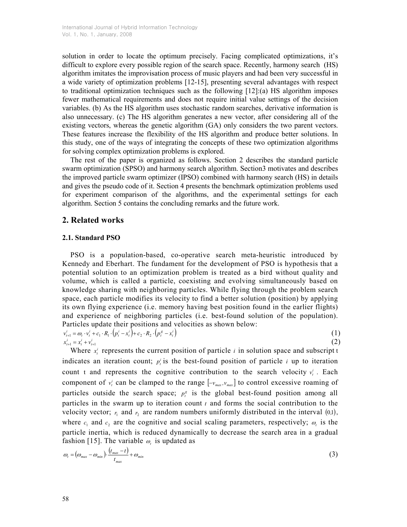solution in order to locate the optimum precisely. Facing complicated optimizations, it's difficult to explore every possible region of the search space. Recently, harmony search (HS) algorithm imitates the improvisation process of music players and had been very successful in a wide variety of optimization problems [12-15], presenting several advantages with respect to traditional optimization techniques such as the following  $[12]$ :(a) HS algorithm imposes fewer mathematical requirements and does not require initial value settings of the decision variables. (b) As the HS algorithm uses stochastic random searches, derivative information is also unnecessary. (c) The HS algorithm generates a new vector, after considering all of the existing vectors, whereas the genetic algorithm (GA) only considers the two parent vectors. These features increase the flexibility of the HS algorithm and produce better solutions. In this study, one of the ways of integrating the concepts of these two optimization algorithms for solving complex optimization problems is explored.

The rest of the paper is organized as follows. Section 2 describes the standard particle swarm optimization (SPSO) and harmony search algorithm. Section3 motivates and describes the improved particle swarm optimizer (IPSO) combined with harmony search (HS) in details and gives the pseudo code of it. Section 4 presents the benchmark optimization problems used for experiment comparison of the algorithms, and the experimental settings for each algorithm. Section 5 contains the concluding remarks and the future work.

### 2. Related works

### 2.1. Standard PSO

PSO is a population-based, co-operative search meta-heuristic introduced by Kennedy and Eberhart. The fundament for the development of PSO is hypothesis that a potential solution to an optimization problem is treated as a bird without quality and volume, which is called a particle, coexisting and evolving simultaneously based on knowledge sharing with neighboring particles. While flying through the problem search space, each particle modifies its velocity to find a better solution (position) by applying its own flying experience (i.e. memory having best position found in the earlier flights) and experience of neighboring particles (i.e. best-found solution of the population). Particles update their positions and velocities as shown below:

$$
v_{t+1}^i = \omega_t \cdot v_t^i + c_1 \cdot R_1 \cdot (p_t^i - x_t^i) + c_2 \cdot R_2 \cdot (p_t^s - x_t^i)
$$
  
\n
$$
x_{t+1}^i = x_t^i + v_{t+1}^i
$$
\n(1)

Where  $x_i$  represents the current position of particle *i* in solution space and subscript t indicates an iteration count;  $p_i$  is the best-found position of particle *i* up to iteration count t and represents the cognitive contribution to the search velocity  $v_t^i$ . Each component of  $v_t^i$  can be clamped to the range  $[-v_{max}, v_{max}]$  to control excessive roaming of particles outside the search space;  $p_i^s$  is the global best-found position among all particles in the swarm up to iteration count  $t$  and forms the social contribution to the velocity vector;  $r_1$  and  $r_2$  are random numbers uniformly distributed in the interval (0,1), where  $c_1$  and  $c_2$  are the cognitive and social scaling parameters, respectively;  $\omega_i$  is the particle inertia, which is reduced dynamically to decrease the search area in a gradual fashion [15]. The variable  $\omega_t$  is updated as

$$
\omega_{t} = (\omega_{max} - \omega_{min}) \cdot \frac{(t_{max} - t)}{t_{max}} + \omega_{min}
$$
\n(3)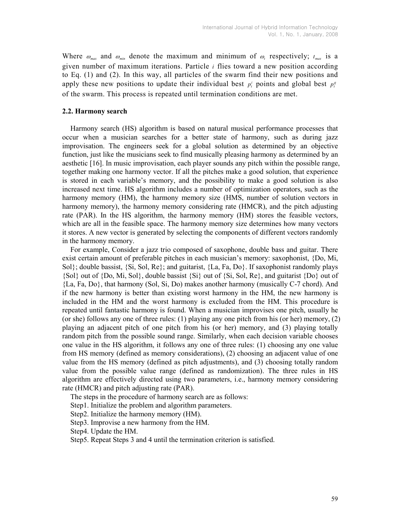Where  $\omega_{max}$  and  $\omega_{min}$  denote the maximum and minimum of  $\omega_t$  respectively;  $t_{max}$  is a given number of maximum iterations. Particle  $i$  flies toward a new position according to Eq. (1) and (2). In this way, all particles of the swarm find their new positions and apply these new positions to update their individual best  $p_t^i$  points and global best  $p_t^s$ of the swarm. This process is repeated until termination conditions are met.

#### 2.2. Harmony search

Harmony search (HS) algorithm is based on natural musical performance processes that occur when a musician searches for a better state of harmony, such as during jazz improvisation. The engineers seek for a global solution as determined by an objective function, just like the musicians seek to find musically pleasing harmony as determined by an aesthetic [16]. In music improvisation, each player sounds any pitch within the possible range, together making one harmony vector. If all the pitches make a good solution, that experience is stored in each variable's memory, and the possibility to make a good solution is also increased next time. HS algorithm includes a number of optimization operators, such as the harmony memory (HM), the harmony memory size (HMS, number of solution vectors in harmony memory), the harmony memory considering rate (HMCR), and the pitch adjusting rate (PAR). In the HS algorithm, the harmony memory (HM) stores the feasible vectors, which are all in the feasible space. The harmony memory size determines how many vectors it stores. A new vector is generated by selecting the components of different vectors randomly in the harmony memory.

For example, Consider a jazz trio composed of saxophone, double bass and guitar. There exist certain amount of preferable pitches in each musician's memory: saxophonist, {Do, Mi, Sol}; double bassist, {Si, Sol, Re}; and guitarist, {La, Fa, Do}. If saxophonist randomly plays {Sol} out of {Do, Mi, Sol}, double bassist {Si} out of {Si, Sol, Re}, and guitarist {Do} out of {La, Fa, Do}, that harmony (Sol, Si, Do) makes another harmony (musically C-7 chord). And if the new harmony is better than existing worst harmony in the HM, the new harmony is included in the HM and the worst harmony is excluded from the HM. This procedure is repeated until fantastic harmony is found. When a musician improvises one pitch, usually he (or she) follows any one of three rules: (1) playing any one pitch from his (or her) memory, (2) playing an adjacent pitch of one pitch from his (or her) memory, and (3) playing totally random pitch from the possible sound range. Similarly, when each decision variable chooses one value in the HS algorithm, it follows any one of three rules: (1) choosing any one value from HS memory (defined as memory considerations), (2) choosing an adjacent value of one value from the HS memory (defined as pitch adjustments), and (3) choosing totally random value from the possible value range (defined as randomization). The three rules in HS algorithm are effectively directed using two parameters, i.e., harmony memory considering rate (HMCR) and pitch adjusting rate (PAR).

The steps in the procedure of harmony search are as follows:

Step1. Initialize the problem and algorithm parameters.

Step2. Initialize the harmony memory (HM).

Step3. Improvise a new harmony from the HM.

Step4. Update the HM.

Step5. Repeat Steps 3 and 4 until the termination criterion is satisfied.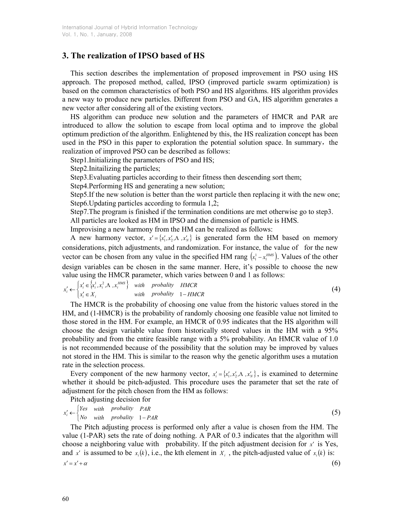# 3. The realization of IPSO based of HS

This section describes the implementation of proposed improvement in PSO using HS approach. The proposed method, called, IPSO (improved particle swarm optimization) is based on the common characteristics of both PSO and HS algorithms. HS algorithm provides a new way to produce new particles. Different from PSO and GA, HS algorithm generates a new vector after considering all of the existing vectors.

HS algorithm can produce new solution and the parameters of HMCR and PAR are introduced to allow the solution to escape from local optima and to improve the global optimum prediction of the algorithm. Enlightened by this, the HS realization concept has been used in the PSO in this paper to exploration the potential solution space. In summary, the realization of improved PSO can be described as follows:

Step1.Initializing the parameters of PSO and HS;

Step2.Initailizing the particles;

Step3.Evaluating particles according to their fitness then descending sort them;

Step4.Performing HS and generating a new solution;

Step5.If the new solution is better than the worst particle then replacing it with the new one; Step6.Updating particles according to formula 1,2;

Step7.The program is finished if the termination conditions are met otherwise go to step3.

All particles are looked as HM in IPSO and the dimension of particle is HMS.

Improvising a new harmony from the HM can be realized as follows:

A new harmony vector,  $x' = \{x'_1, x'_2, \Lambda, x'_N\}$  is generated form the HM based on memory considerations, pitch adjustments, and randomization. For instance, the value of for the new vector can be chosen from any value in the specified HM rang  $(x_1 - x_1^{\text{HMS}})$ . Values of the other design variables can be chosen in the same manner. Here, it's possible to choose the new value using the HMCR parameter, which varies between 0 and 1 as follows:

$$
x'_{i} \leftarrow \begin{cases} x'_{i} \in \{x_{i}^{1}, x_{i}^{2}, \Lambda, x_{i}^{HMS}\} & \text{with} & \text{probability} \quad HMCR\\ x'_{i} \in X_{i} & \text{with} & \text{probability} \quad 1-HMCR \end{cases}
$$
(4)

The HMCR is the probability of choosing one value from the historic values stored in the HM, and (1-HMCR) is the probability of randomly choosing one feasible value not limited to those stored in the HM. For example, an HMCR of 0.95 indicates that the HS algorithm will choose the design variable value from historically stored values in the HM with a 95% probability and from the entire feasible range with a 5% probability. An HMCR value of 1.0 is not recommended because of the possibility that the solution may be improved by values not stored in the HM. This is similar to the reason why the genetic algorithm uses a mutation rate in the selection process.

Every component of the new harmony vector,  $x'_i = \{x'_1, x'_2, \Lambda, x'_N\}$ , is examined to determine whether it should be pitch-adjusted. This procedure uses the parameter that set the rate of adjustment for the pitch chosen from the HM as follows:

Pitch adjusting decision for

$$
x'_{i} \leftarrow \begin{cases} Yes & with \quad probability \quad PAR \\ No & with \quad probability \quad 1 - PAR \end{cases} \tag{5}
$$

The Pitch adjusting process is performed only after a value is chosen from the HM. The value (1-PAR) sets the rate of doing nothing. A PAR of 0.3 indicates that the algorithm will choose a neighboring value with probability. If the pitch adjustment decision for  $x'$  is Yes, and x' is assumed to be  $x_i(k)$ , i.e., the kth element in  $X_i$ , the pitch-adjusted value of  $x_i(k)$  is:  $x'=x'+\alpha$  (6)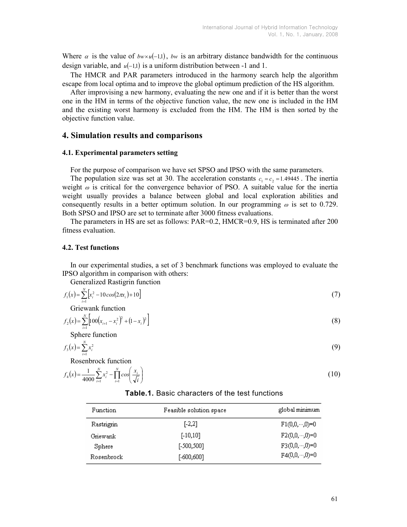Where  $\alpha$  is the value of  $bw \times u(-1,1)$ , bw is an arbitrary distance bandwidth for the continuous design variable, and  $u(-1,1)$  is a uniform distribution between -1 and 1.

The HMCR and PAR parameters introduced in the harmony search help the algorithm escape from local optima and to improve the global optimum prediction of the HS algorithm.

After improvising a new harmony, evaluating the new one and if it is better than the worst one in the HM in terms of the objective function value, the new one is included in the HM and the existing worst harmony is excluded from the HM. The HM is then sorted by the objective function value.

## 4. Simulation results and comparisons

#### 4.1. Experimental parameters setting

For the purpose of comparison we have set SPSO and IPSO with the same parameters.

The population size was set at 30. The acceleration constants  $c_1 = c_2 = 1.49445$ . The inertia weight  $\omega$  is critical for the convergence behavior of PSO. A suitable value for the inertia weight usually provides a balance between global and local exploration abilities and consequently results in a better optimum solution. In our programming  $\omega$  is set to 0.729. Both SPSO and IPSO are set to terminate after 3000 fitness evaluations.

The parameters in HS are set as follows: PAR=0.2, HMCR=0.9, HS is terminated after 200 fitness evaluation.

#### 4.2. Test functions

In our experimental studies, a set of 3 benchmark functions was employed to evaluate the IPSO algorithm in comparison with others:

Generalized Rastigrin function

$$
f_1(x) = \sum_{i=1}^{N} \left[ x_i^2 - 10\cos(2\pi x_i) + 10 \right]
$$
 (7)

Griewank function

$$
f_2(x) = \sum_{i=1}^{N} \left[ 100(x_{i+1} - x_i^2)^2 + (1 - x_i)^2 \right]
$$
 (8)

Sphere function

$$
f_3(x) = \sum_{i=1}^{N} x_i^2
$$
 (9)

Rosenbrock function

$$
f_4(x) = \frac{1}{4000} \sum_{i=1}^{N} x_i^2 - \prod_{i=1}^{N} \cos\left(\frac{x_i}{\sqrt{i}}\right)
$$
 (10)

| Function   | Feasible solution space | global minimum      |
|------------|-------------------------|---------------------|
| Rastrigrin | $[-2,2]$                | $F1(0,0,\dots,0)=0$ |
| Griewank   | $[-10, 10]$             | $F2(0,0,\dots,0)=0$ |
| Sphere     | $[-500, 500]$           | $F3(0,0,\dots,0)=0$ |
| Rosenbrock | [-600,600]              | $F4(0,0,\dots,0)=0$ |

Table.1. Basic characters of the test functions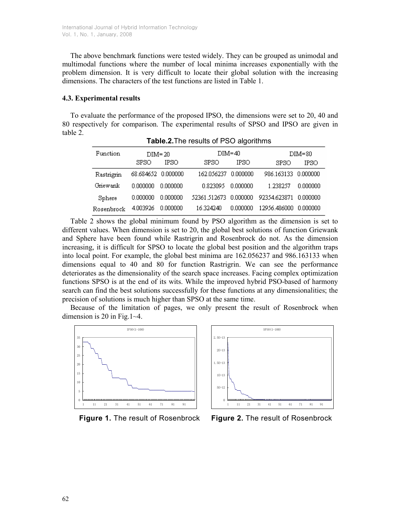The above benchmark functions were tested widely. They can be grouped as unimodal and multimodal functions where the number of local minima increases exponentially with the problem dimension. It is very difficult to locate their global solution with the increasing dimensions. The characters of the test functions are listed in Table 1.

### 4.3. Experimental results

To evaluate the performance of the proposed IPSO, the dimensions were set to 20, 40 and 80 respectively for comparison. The experimental results of SPSO and IPSO are given in table 2.

| <b>Table.2.</b> The results of PSO algorithms |           |          |              |          |              |          |  |  |
|-----------------------------------------------|-----------|----------|--------------|----------|--------------|----------|--|--|
| Function                                      | DIM=20    |          | DIM=40       |          | DIM=80       |          |  |  |
|                                               | SPSO      | IPSO     | SPSO         | IPSO     | SPSO         | IPSO     |  |  |
| Rastrigrin                                    | 68.684652 | n nnnnnn | 162.056237   | n nnnnnn | 986.163133   | 0.000000 |  |  |
| Griewank                                      | 0.000000  | n nnnnnn | በ ጸ23በ95     | n nnnnnn | 1 238257     | n nnnnnn |  |  |
| Sphere                                        | n nnnnnn  | n nnnnnn | 52361-512673 | 0.000000 | 92354.623871 | n nnnnnn |  |  |
| Rosenbrock                                    | 4.003926  | n nnnnnn | 16.324240    | n nnnnnn | 12956.486000 | n nnnnnn |  |  |

Table 2 shows the global minimum found by PSO algorithm as the dimension is set to different values. When dimension is set to 20, the global best solutions of function Griewank and Sphere have been found while Rastrigrin and Rosenbrock do not. As the dimension increasing, it is difficult for SPSO to locate the global best position and the algorithm traps into local point. For example, the global best minima are 162.056237 and 986.163133 when dimensions equal to 40 and 80 for function Rastrigrin. We can see the performance deteriorates as the dimensionality of the search space increases. Facing complex optimization functions SPSO is at the end of its wits. While the improved hybrid PSO-based of harmony search can find the best solutions successfully for these functions at any dimensionalities; the precision of solutions is much higher than SPSO at the same time.

Because of the limitation of pages, we only present the result of Rosenbrock when dimension is 20 in Fig.1~4.





Figure 1. The result of Rosenbrock Figure 2. The result of Rosenbrock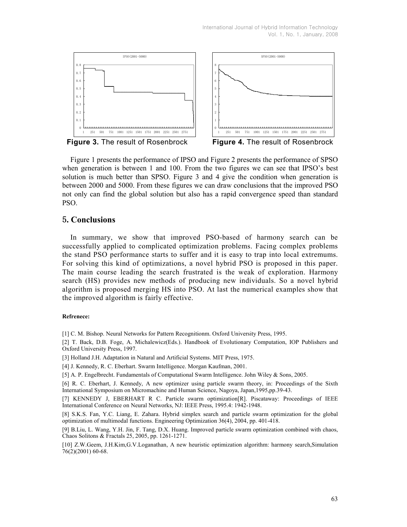

Figure 3. The result of Rosenbrock Figure 4. The result of Rosenbrock

Figure 1 presents the performance of IPSO and Figure 2 presents the performance of SPSO when generation is between 1 and 100. From the two figures we can see that IPSO's best solution is much better than SPSO. Figure 3 and 4 give the condition when generation is between 2000 and 5000. From these figures we can draw conclusions that the improved PSO not only can find the global solution but also has a rapid convergence speed than standard PSO.

# 5. Conclusions

In summary, we show that improved PSO-based of harmony search can be successfully applied to complicated optimization problems. Facing complex problems the stand PSO performance starts to suffer and it is easy to trap into local extremums. For solving this kind of optimizations, a novel hybrid PSO is proposed in this paper. The main course leading the search frustrated is the weak of exploration. Harmony search (HS) provides new methods of producing new individuals. So a novel hybrid algorithm is proposed merging HS into PSO. At last the numerical examples show that the improved algorithm is fairly effective.

#### Refrenece:

[1] C. M. Bishop. Neural Networks for Pattern Recognitionm. Oxford University Press, 1995.

[2] T. Back, D.B. Foge, A. Michalewicz(Eds.). Handbook of Evolutionary Computation, IOP Publishers and Oxford University Press, 1997.

[3] Holland J.H. Adaptation in Natural and Artificial Systems. MIT Press, 1975.

[4] J. Kennedy, R. C. Eberhart. Swarm Intelligence. Morgan Kaufman, 2001.

[5] A. P. Engelbrecht. Fundamentals of Computational Swarm Intelligence. John Wiley & Sons, 2005.

[6] R. C. Eberhart, J. Kennedy, A new optimizer using particle swarm theory, in: Proceedings of the Sixth International Symposium on Micromachine and Human Science, Nagoya, Japan,1995,pp.39-43.

[7] KENNEDY J, EBERHART R C. Particle swarm optimization[R]. Piscataway: Proceedings of IEEE International Conference on Neural Networks, NJ: IEEE Press, 1995.4: 1942-1948.

[8] S.K.S. Fan, Y.C. Liang, E. Zahara. Hybrid simplex search and particle swarm optimization for the global optimization of multimodal functions. Engineering Optimization 36(4), 2004, pp. 401-418.

[9] B.Liu, L. Wang, Y.H. Jin, F. Tang, D.X. Huang. Improved particle swarm optimization combined with chaos, Chaos Solitons & Fractals 25, 2005, pp. 1261-1271.

[10] Z.W.Geem, J.H.Kim,G.V.Loganathan, A new heuristic optimization algorithm: harmony search,Simulation 76(2)(2001) 60-68.